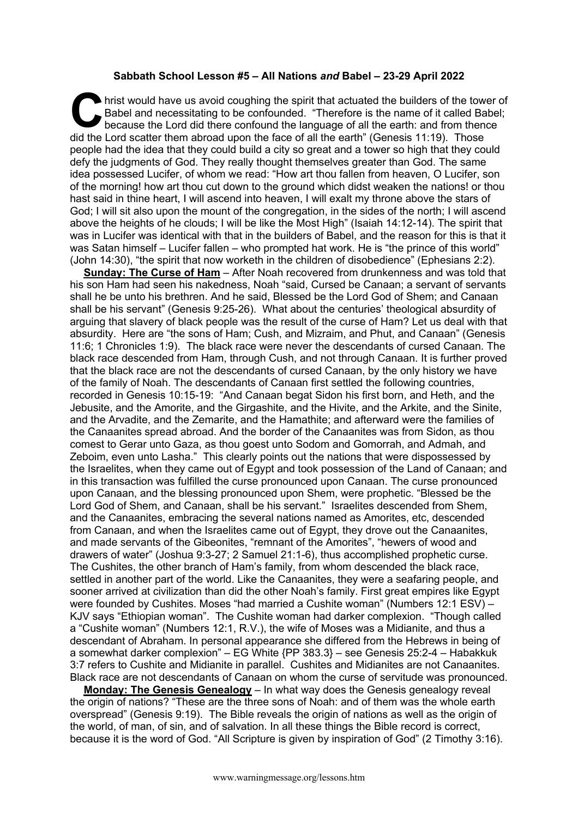## **Sabbath School Lesson #5 – All Nations** *and* **Babel – 23-29 April 2022**

hrist would have us avoid coughing the spirit that actuated the builders of the tower of Babel and necessitating to be confounded. "Therefore is the name of it called Babel; because the Lord did there confound the language of all the earth: and from thence did the Lord scatter them abroad upon the face of all the earth" (Genesis 11:19). Those people had the idea that they could build a city so great and a tower so high that they could defy the judgments of God. They really thought themselves greater than God. The same idea possessed Lucifer, of whom we read: "How art thou fallen from heaven, O Lucifer, son of the morning! how art thou cut down to the ground which didst weaken the nations! or thou hast said in thine heart, I will ascend into heaven, I will exalt my throne above the stars of God; I will sit also upon the mount of the congregation, in the sides of the north; I will ascend above the heights of he clouds; I will be like the Most High" (Isaiah 14:12-14). The spirit that was in Lucifer was identical with that in the builders of Babel, and the reason for this is that it was Satan himself – Lucifer fallen – who prompted hat work. He is "the prince of this world" (John 14:30), "the spirit that now worketh in the children of disobedience" (Ephesians 2:2). C hris<br>Ba<br>did the Le

**Sunday: The Curse of Ham** – After Noah recovered from drunkenness and was told that his son Ham had seen his nakedness, Noah "said, Cursed be Canaan; a servant of servants shall he be unto his brethren. And he said, Blessed be the Lord God of Shem; and Canaan shall be his servant" (Genesis 9:25-26). What about the centuries' theological absurdity of arguing that slavery of black people was the result of the curse of Ham? Let us deal with that absurdity. Here are "the sons of Ham; Cush, and Mizraim, and Phut, and Canaan" (Genesis 11:6; 1 Chronicles 1:9). The black race were never the descendants of cursed Canaan. The black race descended from Ham, through Cush, and not through Canaan. It is further proved that the black race are not the descendants of cursed Canaan, by the only history we have of the family of Noah. The descendants of Canaan first settled the following countries, recorded in Genesis 10:15-19: "And Canaan begat Sidon his first born, and Heth, and the Jebusite, and the Amorite, and the Girgashite, and the Hivite, and the Arkite, and the Sinite, and the Arvadite, and the Zemarite, and the Hamathite; and afterward were the families of the Canaanites spread abroad. And the border of the Canaanites was from Sidon, as thou comest to Gerar unto Gaza, as thou goest unto Sodom and Gomorrah, and Admah, and Zeboim, even unto Lasha." This clearly points out the nations that were dispossessed by the Israelites, when they came out of Egypt and took possession of the Land of Canaan; and in this transaction was fulfilled the curse pronounced upon Canaan. The curse pronounced upon Canaan, and the blessing pronounced upon Shem, were prophetic. "Blessed be the Lord God of Shem, and Canaan, shall be his servant." Israelites descended from Shem, and the Canaanites, embracing the several nations named as Amorites, etc, descended from Canaan, and when the Israelites came out of Egypt, they drove out the Canaanites, and made servants of the Gibeonites, "remnant of the Amorites", "hewers of wood and drawers of water" (Joshua 9:3-27; 2 Samuel 21:1-6), thus accomplished prophetic curse. The Cushites, the other branch of Ham's family, from whom descended the black race, settled in another part of the world. Like the Canaanites, they were a seafaring people, and sooner arrived at civilization than did the other Noah's family. First great empires like Egypt were founded by Cushites. Moses "had married a Cushite woman" (Numbers 12:1 ESV) – KJV says "Ethiopian woman". The Cushite woman had darker complexion. "Though called a "Cushite woman" (Numbers 12:1, R.V.), the wife of Moses was a Midianite, and thus a descendant of Abraham. In personal appearance she differed from the Hebrews in being of a somewhat darker complexion" – EG White {PP 383.3} – see Genesis 25:2-4 – Habakkuk 3:7 refers to Cushite and Midianite in parallel. Cushites and Midianites are not Canaanites. Black race are not descendants of Canaan on whom the curse of servitude was pronounced.

**Monday: The Genesis Genealogy** – In what way does the Genesis genealogy reveal the origin of nations? "These are the three sons of Noah: and of them was the whole earth overspread" (Genesis 9:19). The Bible reveals the origin of nations as well as the origin of the world, of man, of sin, and of salvation. In all these things the Bible record is correct, because it is the word of God. "All Scripture is given by inspiration of God" (2 Timothy 3:16).